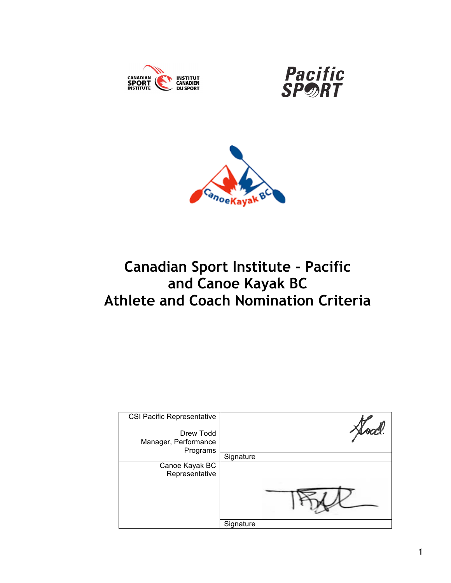





# **Canadian Sport Institute - Pacific and Canoe Kayak BC Athlete and Coach Nomination Criteria**

| <b>CSI Pacific Representative</b><br>Drew Todd<br>Manager, Performance<br>Programs |           |  |
|------------------------------------------------------------------------------------|-----------|--|
|                                                                                    | Signature |  |
| Canoe Kayak BC<br>Representative                                                   |           |  |
|                                                                                    | Signature |  |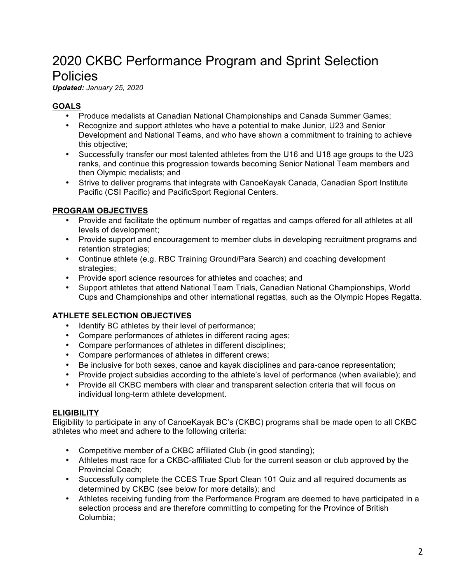# 2020 CKBC Performance Program and Sprint Selection **Policies**

*Updated: January 25, 2020*

# **GOALS**

- Produce medalists at Canadian National Championships and Canada Summer Games;
- Recognize and support athletes who have a potential to make Junior, U23 and Senior Development and National Teams, and who have shown a commitment to training to achieve this objective;
- Successfully transfer our most talented athletes from the U16 and U18 age groups to the U23 ranks, and continue this progression towards becoming Senior National Team members and then Olympic medalists; and
- Strive to deliver programs that integrate with CanoeKayak Canada, Canadian Sport Institute Pacific (CSI Pacific) and PacificSport Regional Centers.

# **PROGRAM OBJECTIVES**

- Provide and facilitate the optimum number of regattas and camps offered for all athletes at all levels of development;
- Provide support and encouragement to member clubs in developing recruitment programs and retention strategies;
- Continue athlete (e.g. RBC Training Ground/Para Search) and coaching development strategies:
- Provide sport science resources for athletes and coaches; and
- Support athletes that attend National Team Trials, Canadian National Championships, World Cups and Championships and other international regattas, such as the Olympic Hopes Regatta.

# **ATHLETE SELECTION OBJECTIVES**

- Identify BC athletes by their level of performance;
- Compare performances of athletes in different racing ages;
- Compare performances of athletes in different disciplines;
- Compare performances of athletes in different crews;
- Be inclusive for both sexes, canoe and kayak disciplines and para-canoe representation;
- Provide project subsidies according to the athlete's level of performance (when available); and
- Provide all CKBC members with clear and transparent selection criteria that will focus on individual long-term athlete development.

# **ELIGIBILITY**

Eligibility to participate in any of CanoeKayak BC's (CKBC) programs shall be made open to all CKBC athletes who meet and adhere to the following criteria:

- Competitive member of a CKBC affiliated Club (in good standing);
- Athletes must race for a CKBC-affiliated Club for the current season or club approved by the Provincial Coach;
- Successfully complete the CCES True Sport Clean 101 Quiz and all required documents as determined by CKBC (see below for more details); and
- Athletes receiving funding from the Performance Program are deemed to have participated in a selection process and are therefore committing to competing for the Province of British Columbia;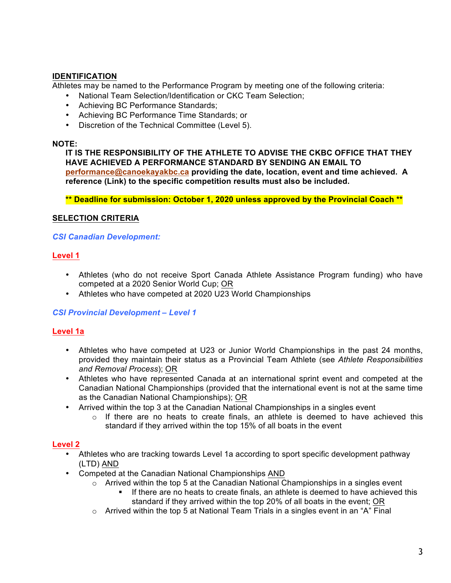### **IDENTIFICATION**

Athletes may be named to the Performance Program by meeting one of the following criteria:

- National Team Selection/Identification or CKC Team Selection;
- Achieving BC Performance Standards;
- Achieving BC Performance Time Standards; or
- Discretion of the Technical Committee (Level 5).

#### **NOTE:**

**IT IS THE RESPONSIBILITY OF THE ATHLETE TO ADVISE THE CKBC OFFICE THAT THEY HAVE ACHIEVED A PERFORMANCE STANDARD BY SENDING AN EMAIL TO performance@canoekayakbc.ca providing the date, location, event and time achieved. A reference (Link) to the specific competition results must also be included.**

**\*\* Deadline for submission: October 1, 2020 unless approved by the Provincial Coach \*\***

#### **SELECTION CRITERIA**

#### *CSI Canadian Development:*

#### **Level 1**

- Athletes (who do not receive Sport Canada Athlete Assistance Program funding) who have competed at a 2020 Senior World Cup; OR
- Athletes who have competed at 2020 U23 World Championships

#### *CSI Provincial Development – Level 1*

#### **Level 1a**

- Athletes who have competed at U23 or Junior World Championships in the past 24 months, provided they maintain their status as a Provincial Team Athlete (see *Athlete Responsibilities and Removal Process*); OR
- Athletes who have represented Canada at an international sprint event and competed at the Canadian National Championships (provided that the international event is not at the same time as the Canadian National Championships); OR
- Arrived within the top 3 at the Canadian National Championships in a singles event
	- $\circ$  If there are no heats to create finals, an athlete is deemed to have achieved this standard if they arrived within the top 15% of all boats in the event

#### **Level 2**

- Athletes who are tracking towards Level 1a according to sport specific development pathway (LTD) AND
- Competed at the Canadian National Championships AND
	- o Arrived within the top 5 at the Canadian National Championships in a singles event
		- ! If there are no heats to create finals, an athlete is deemed to have achieved this standard if they arrived within the top 20% of all boats in the event; OR
	- $\circ$  Arrived within the top 5 at National Team Trials in a singles event in an "A" Final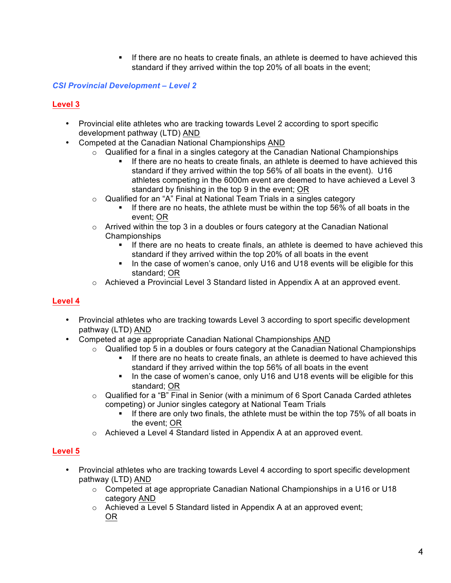! If there are no heats to create finals, an athlete is deemed to have achieved this standard if they arrived within the top 20% of all boats in the event;

### *CSI Provincial Development – Level 2*

### **Level 3**

- Provincial elite athletes who are tracking towards Level 2 according to sport specific development pathway (LTD) AND
- Competed at the Canadian National Championships AND
	- $\circ$  Qualified for a final in a singles category at the Canadian National Championships
		- ! If there are no heats to create finals, an athlete is deemed to have achieved this standard if they arrived within the top 56% of all boats in the event). U16 athletes competing in the 6000m event are deemed to have achieved a Level 3 standard by finishing in the top 9 in the event; OR
	- o Qualified for an "A" Final at National Team Trials in a singles category
		- ! If there are no heats, the athlete must be within the top 56% of all boats in the event; OR
	- o Arrived within the top 3 in a doubles or fours category at the Canadian National Championships
		- ! If there are no heats to create finals, an athlete is deemed to have achieved this standard if they arrived within the top 20% of all boats in the event
		- ! In the case of women's canoe, only U16 and U18 events will be eligible for this standard; OR
	- $\circ$  Achieved a Provincial Level 3 Standard listed in Appendix A at an approved event.

#### **Level 4**

- Provincial athletes who are tracking towards Level 3 according to sport specific development pathway (LTD) AND
- Competed at age appropriate Canadian National Championships AND
	- o Qualified top 5 in a doubles or fours category at the Canadian National Championships
		- ! If there are no heats to create finals, an athlete is deemed to have achieved this standard if they arrived within the top 56% of all boats in the event
		- ! In the case of women's canoe, only U16 and U18 events will be eligible for this standard; OR
	- $\circ$  Qualified for a "B" Final in Senior (with a minimum of 6 Sport Canada Carded athletes competing) or Junior singles category at National Team Trials
		- If there are only two finals, the athlete must be within the top 75% of all boats in the event; OR
	- o Achieved a Level 4 Standard listed in Appendix A at an approved event.

# **Level 5**

- Provincial athletes who are tracking towards Level 4 according to sport specific development pathway (LTD) AND
	- $\circ$  Competed at age appropriate Canadian National Championships in a U16 or U18 category AND
	- $\circ$  Achieved a Level 5 Standard listed in Appendix A at an approved event; OR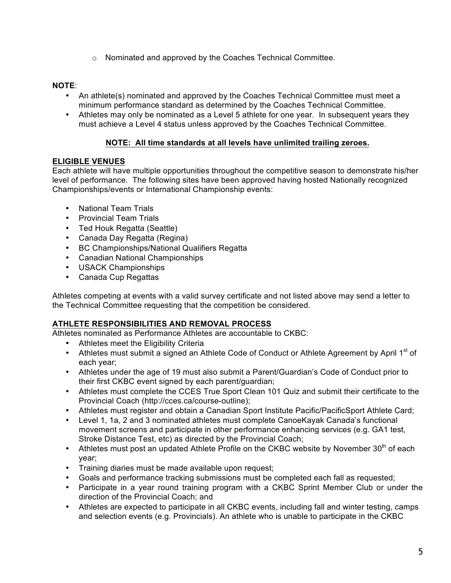o Nominated and approved by the Coaches Technical Committee.

### **NOTE**:

- An athlete(s) nominated and approved by the Coaches Technical Committee must meet a minimum performance standard as determined by the Coaches Technical Committee.
- Athletes may only be nominated as a Level 5 athlete for one year. In subsequent years they must achieve a Level 4 status unless approved by the Coaches Technical Committee.

#### **NOTE: All time standards at all levels have unlimited trailing zeroes.**

#### **ELIGIBLE VENUES**

Each athlete will have multiple opportunities throughout the competitive season to demonstrate his/her level of performance. The following sites have been approved having hosted Nationally recognized Championships/events or International Championship events:

- National Team Trials
- Provincial Team Trials
- Ted Houk Regatta (Seattle)
- Canada Day Regatta (Regina)
- BC Championships/National Qualifiers Regatta
- Canadian National Championships
- USACK Championships
- Canada Cup Regattas

Athletes competing at events with a valid survey certificate and not listed above may send a letter to the Technical Committee requesting that the competition be considered.

# **ATHLETE RESPONSIBILITIES AND REMOVAL PROCESS**

Athletes nominated as Performance Athletes are accountable to CKBC:

- Athletes meet the Eligibility Criteria
- Athletes must submit a signed an Athlete Code of Conduct or Athlete Agreement by April 1<sup>st</sup> of each year;
- Athletes under the age of 19 must also submit a Parent/Guardian's Code of Conduct prior to their first CKBC event signed by each parent/guardian;
- Athletes must complete the CCES True Sport Clean 101 Quiz and submit their certificate to the Provincial Coach (http://cces.ca/course-outline);
- Athletes must register and obtain a Canadian Sport Institute Pacific/PacificSport Athlete Card;
- Level 1, 1a, 2 and 3 nominated athletes must complete CanoeKayak Canada's functional movement screens and participate in other performance enhancing services (e.g. GA1 test, Stroke Distance Test, etc) as directed by the Provincial Coach;
- Athletes must post an updated Athlete Profile on the CKBC website by November 30<sup>th</sup> of each year;
- Training diaries must be made available upon request;
- Goals and performance tracking submissions must be completed each fall as requested;
- Participate in a year round training program with a CKBC Sprint Member Club or under the direction of the Provincial Coach; and
- Athletes are expected to participate in all CKBC events, including fall and winter testing, camps and selection events (e.g. Provincials). An athlete who is unable to participate in the CKBC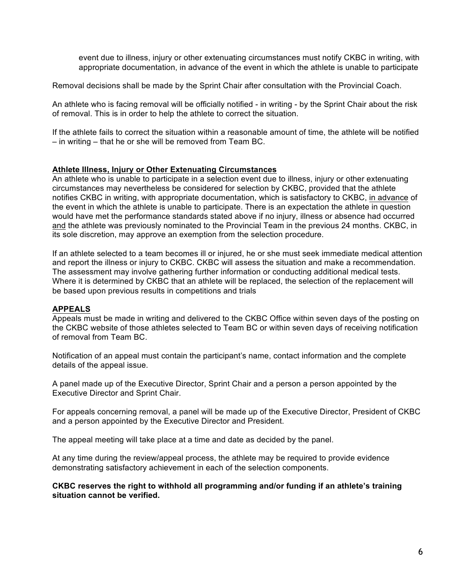event due to illness, injury or other extenuating circumstances must notify CKBC in writing, with appropriate documentation, in advance of the event in which the athlete is unable to participate

Removal decisions shall be made by the Sprint Chair after consultation with the Provincial Coach.

An athlete who is facing removal will be officially notified - in writing - by the Sprint Chair about the risk of removal. This is in order to help the athlete to correct the situation.

If the athlete fails to correct the situation within a reasonable amount of time, the athlete will be notified – in writing – that he or she will be removed from Team BC.

#### **Athlete Illness, Injury or Other Extenuating Circumstances**

An athlete who is unable to participate in a selection event due to illness, injury or other extenuating circumstances may nevertheless be considered for selection by CKBC, provided that the athlete notifies CKBC in writing, with appropriate documentation, which is satisfactory to CKBC, in advance of the event in which the athlete is unable to participate. There is an expectation the athlete in question would have met the performance standards stated above if no injury, illness or absence had occurred and the athlete was previously nominated to the Provincial Team in the previous 24 months. CKBC, in its sole discretion, may approve an exemption from the selection procedure.

If an athlete selected to a team becomes ill or injured, he or she must seek immediate medical attention and report the illness or injury to CKBC. CKBC will assess the situation and make a recommendation. The assessment may involve gathering further information or conducting additional medical tests. Where it is determined by CKBC that an athlete will be replaced, the selection of the replacement will be based upon previous results in competitions and trials

#### **APPEALS**

Appeals must be made in writing and delivered to the CKBC Office within seven days of the posting on the CKBC website of those athletes selected to Team BC or within seven days of receiving notification of removal from Team BC.

Notification of an appeal must contain the participant's name, contact information and the complete details of the appeal issue.

A panel made up of the Executive Director, Sprint Chair and a person a person appointed by the Executive Director and Sprint Chair.

For appeals concerning removal, a panel will be made up of the Executive Director, President of CKBC and a person appointed by the Executive Director and President.

The appeal meeting will take place at a time and date as decided by the panel.

At any time during the review/appeal process, the athlete may be required to provide evidence demonstrating satisfactory achievement in each of the selection components.

#### **CKBC reserves the right to withhold all programming and/or funding if an athlete's training situation cannot be verified.**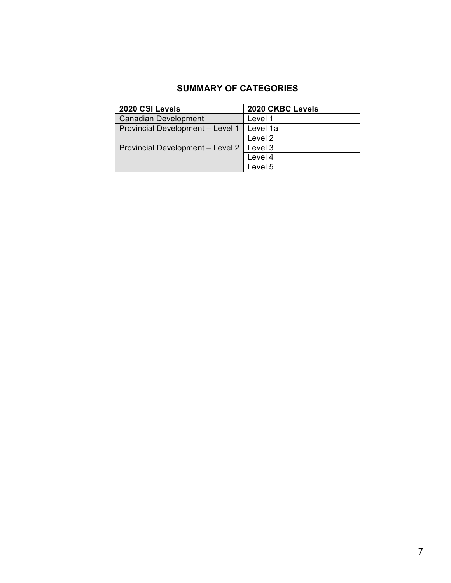# **SUMMARY OF CATEGORIES**

| 2020 CSI Levels                  | 2020 CKBC Levels   |  |  |  |  |  |  |
|----------------------------------|--------------------|--|--|--|--|--|--|
| <b>Canadian Development</b>      | Level 1            |  |  |  |  |  |  |
| Provincial Development - Level 1 | Level 1a           |  |  |  |  |  |  |
|                                  | Level <sub>2</sub> |  |  |  |  |  |  |
| Provincial Development - Level 2 | Level 3            |  |  |  |  |  |  |
|                                  | Level 4            |  |  |  |  |  |  |
|                                  | Level 5            |  |  |  |  |  |  |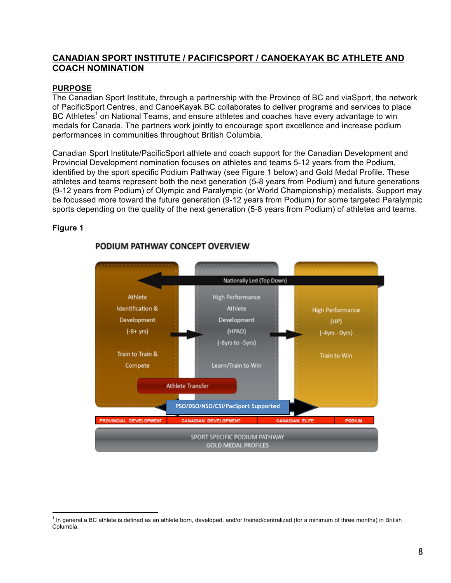# **CANADIAN SPORT INSTITUTE / PACIFICSPORT / CANOEKAYAK BC ATHLETE AND COACH NOMINATION**

#### **PURPOSE**

The Canadian Sport Institute, through a partnership with the Province of BC and viaSport, the network of PacificSport Centres, and CanoeKayak BC collaborates to deliver programs and services to place BC Athletes<sup>1</sup> on National Teams, and ensure athletes and coaches have every advantage to win medals for Canada. The partners work jointly to encourage sport excellence and increase podium performances in communities throughout British Columbia.

Canadian Sport Institute/PacificSport athlete and coach support for the Canadian Development and Provincial Development nomination focuses on athletes and teams 5-12 years from the Podium, identified by the sport specific Podium Pathway (see Figure 1 below) and Gold Medal Profile. These athletes and teams represent both the next generation (5-8 years from Podium) and future generations (9-12 years from Podium) of Olympic and Paralympic (or World Championship) medalists. Support may be focussed more toward the future generation (9-12 years from Podium) for some targeted Paralympic sports depending on the quality of the next generation (5-8 years from Podium) of athletes and teams.

#### **Figure 1**



# PODIUM PATHWAY CONCEPT OVERVIEW

 $\overline{a}$ In general a BC athlete is defined as an athlete born, developed, and/or trained/centralized (for a minimum of three months) in British Columbia.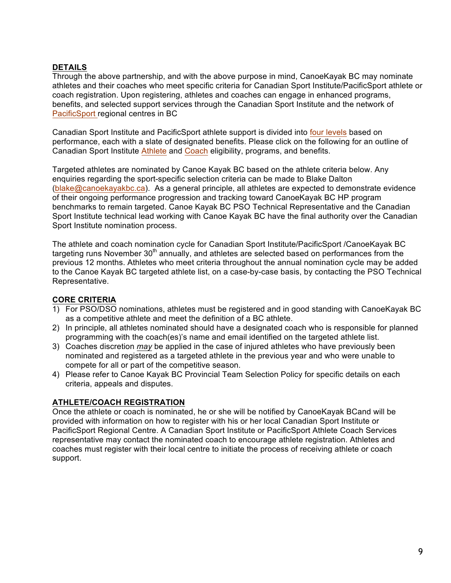### **DETAILS**

Through the above partnership, and with the above purpose in mind, CanoeKayak BC may nominate athletes and their coaches who meet specific criteria for Canadian Sport Institute/PacificSport athlete or coach registration. Upon registering, athletes and coaches can engage in enhanced programs, benefits, and selected support services through the Canadian Sport Institute and the network of PacificSport regional centres in BC

Canadian Sport Institute and PacificSport athlete support is divided into four levels based on performance, each with a slate of designated benefits. Please click on the following for an outline of Canadian Sport Institute Athlete and Coach eligibility, programs, and benefits.

Targeted athletes are nominated by Canoe Kayak BC based on the athlete criteria below. Any enquiries regarding the sport-specific selection criteria can be made to Blake Dalton (blake@canoekayakbc.ca). As a general principle, all athletes are expected to demonstrate evidence of their ongoing performance progression and tracking toward CanoeKayak BC HP program benchmarks to remain targeted. Canoe Kayak BC PSO Technical Representative and the Canadian Sport Institute technical lead working with Canoe Kayak BC have the final authority over the Canadian Sport Institute nomination process.

The athlete and coach nomination cycle for Canadian Sport Institute/PacificSport /CanoeKayak BC targeting runs November  $30<sup>th</sup>$  annually, and athletes are selected based on performances from the previous 12 months. Athletes who meet criteria throughout the annual nomination cycle may be added to the Canoe Kayak BC targeted athlete list, on a case-by-case basis, by contacting the PSO Technical Representative.

# **CORE CRITERIA**

- 1) For PSO/DSO nominations, athletes must be registered and in good standing with CanoeKayak BC as a competitive athlete and meet the definition of a BC athlete.
- 2) In principle, all athletes nominated should have a designated coach who is responsible for planned programming with the coach(es)'s name and email identified on the targeted athlete list.
- 3) Coaches discretion *may* be applied in the case of injured athletes who have previously been nominated and registered as a targeted athlete in the previous year and who were unable to compete for all or part of the competitive season.
- 4) Please refer to Canoe Kayak BC Provincial Team Selection Policy for specific details on each criteria, appeals and disputes.

# **ATHLETE/COACH REGISTRATION**

Once the athlete or coach is nominated, he or she will be notified by CanoeKayak BCand will be provided with information on how to register with his or her local Canadian Sport Institute or PacificSport Regional Centre. A Canadian Sport Institute or PacificSport Athlete Coach Services representative may contact the nominated coach to encourage athlete registration. Athletes and coaches must register with their local centre to initiate the process of receiving athlete or coach support.